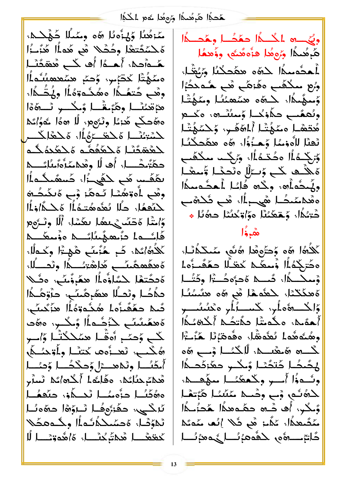هَدِمُ اهْبِعُدِمُ اجْهِعُدا حُوم الْحُمُّ

مَنْزِهُنَا وَٰٓلِہَٓوۡنَا ۞و ومَعۡمَلَا حَٰوۡكِـدِ. هَٰكْمُكَتْعْدَا وِحُثْكَ ۚ هُم هُدماُ الْمُذَّسَٰرَا هُــدُهـدُ أهــدُا أُه كُب مُعْمَدُنْــا ەممَٰٓئَىنَّا كَحَبِّسِ ۚ وَحِمِّ ۖ مَسْمَعَمَلَتُمَلَّا وهْبِ هُتمُـٰهُا مَعُمُّـُووَٰهُاْ! وِيُـَٰٓـٰهُا! هؤقنتك وهُبَشَا وُكْبِ تَــةَهْا ەھَڪّى ھُڊىُا وِنْرُەمْ. لَا ھەُا ھُوْاْمُهْ حمْتِنْسًا مَحْقَدَهُأَا، مَحْفَلِكُمْ للشقشة ملقفهً ملقده كم حكَّتُمشَّـــا، أُه لُل وثَمِدْمَدَأْهَأَمِلَكْـــد لِمَفَس هُم لِهَيْءَا. ضَعْمَلَكُمَا وهْبِي لِمُوَقِّصُدَا نُبْوَهُ: وْبِي وَيَخْبَجُبُوهُ لِكَعْمَا. حِلَّا نُعْدَهُتْدُلًّا هَكَدَّاْ ذِلَّا وْاعْشَا هَتْمُكْ يَعْمَلْ بِعَمْدَا. ٱلْلَّا وِنْتَوْهِمْ كَاتَــه ما دَّىـعمِيْسَاسُـــم ەۋْممكَـــم كَلُّهُ/مُدْ· كُمِ هُنَّمَبِّ هُوْ~ُ وكُحَالًا. ەْھھْھمنىّـــــى ھَاھْتِيْــــــمَّا وتْھــــُلَا. َهُحَكْتَهُا ۖ خَسَّاؤُه*ُ أ*َا ه*َهُ*ۥِؤُمِّبُ ۚ هُ صَـْلا داُهُـا ونْتـاْا ههُبمُنّبٍ. حزّوْهُـدًا ثَىد حعٌقُىزُه! هُدُّەوّەۢاْ هزَّىْدىبٌ. ەَھمَىنَىكَ خَزَحَـٰه) أَوْمَكْــو، ەھَت ݣُــــو وُحِمّـــو أَوْقْــا همّـكْكْتْـا وُاسو هُكْسِ، نْعَسْزُهِ كَتِسْلُ وِلْمَوْسَكُ أَمكَنُــا ونَـاهـــــرْل وُحـكْـدَٰـــا وُحنُـــا هُدامٌ دلالُه. وقالَهُ ا أَكْلَامَا مُدارَ ەھۇئىل جزُەمئىل ئىسكرو. جىھھىل تَرِكْحِي، حفَزْهِهْما نْسِرَوْهْ! حدَّهِ سُل ثَلاَوۡصَادِ ۚ وَحَسَّىٰدُ مُسَاءُ وَلَّــوَ مَحَكَ كَعْعْمُـــا مْحَاتّْدِكْنْـــا، هَ/هُوقْـــا لُل

ويُن ما حُكْمًا حَفْجُهَا وِهَجْهَا هُرِهُدِهُا وَرُوهُا قَزَّهَ هُشَهِ وَوَقَعْهَا أَحدُّمبِهُا لِهِ مَقْحِكْنُا وَرُغَقْباً. ورُمِ سككَبِ هَفَاهَــِ هُــِ هُــَمحَدُّ}ا وٌسمُسمًا. لمدةه همّعمَنُا ومَهْتُنَا وتُعمَّى حَذَّوْتُهَا وَسَنُنْسُهِ: مَكْتُمْ هُتَعْمَا مَمْهُتْا ٱلْمَّصِّرِ. وَحَمَّهُتْأَ نْعِبْلِ لِلْهَوْمُلِ وُهِيزُوُلِ. وَهُو هِجُحِكْتُـلِ وۡزِجۡـٰہُ اُل ہٖ صُحۡـٰہُ اُل وَہُکُـِـٰب مِیکُھُنے هَ لِأَنْفَ كُنْ وَنُظِلُّ وَنُحَمَّا وَجُمِعْنَا ويُبحُدُواْنِ، وجْدَه فَاسُلْ لْمُحَـْدِمِيدًا ەقىممىكىل ھېبېرلمان قىس ئىنىھىپ خْتِبْكُلْ: وَحْقَقْبُنْلْ وَوُاوْكْتُبْلْ حَيْهُ لَلْ \* هُدُوْا ݣْلْتُهْا هُو وُحِزُوهْا هُنُّو مُنْكُلْهَا. ەخْرِجْدُاْ أُمْمِعْكُمْ كَعْنَاْلْ حَقَفْسَزُّە ُ وْمِعْكُمَا: ثَمَـــكُمْ هُجرُّهْكُـــٰٓ;ا وِكُتُــا هُهكُنْدًا، لِمَعْمَعْهَا هُم هُه هِنُسُنُـا وَّالْكَــــەُّەلُمْ. ݣْىســـاُلُمْ ەڭنىُسْـــو أهدًه وحدَّمتْه حكَّتحُك أَحْدَّة كِمَّا وهُمُه هُدا يُعْدِهْا. وفُوقَرْنَا هَزُنَّا كْسِرْهِ رَهْمُعْسَىدْ، لَٰٓا كُنُسَا وْسِي رَهُهِ لحَمْحُـا حَتَحَْـْا وُحْـُـبِ حَعَّرْضَحُاْ ولَدهُ أُسب وِكْعِكْسًا مِهْدِيهِ. لِهُنُم وْبِ وِصْلِهِ مُنْشَا هَزَتْهَا وًىكُو: أَفْ شَـْهِ حَجَّـهِعْدًا هَجَزُنــدًا مَفَصِدُاً، يَذُبَعَ هُو شَلا إِنَّفَ مَدْوَيْهِ دَّانِيِّ وَ مِنْ الْمُدْوَّدِيُّةَ مِنْ الْمَجْمَعِيَّةِ لَكَسَارِ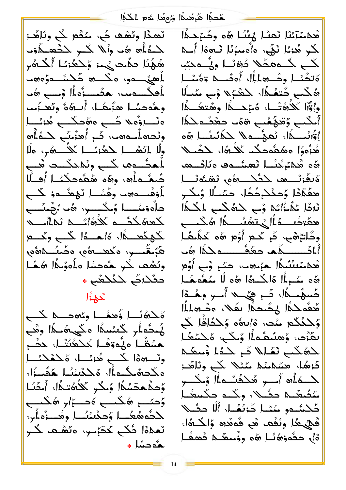هَدِمُ اهْبِعُدِمُ اجْهِعُدا حُوم الْحُمُّ

تَھنْدَا وِتَھْھ کُے: مَنْقُع کُے وِتَاہُد: لمستقلُّه هُب وألما لمُسبِّ للشَّعصكَاوَبِ هُهُمًا حَدَّمَ يَهْدَ مِكْمَّةٍ وَلَحْمَدَ الْمُحْمَّو أهنى وفك المستوفين أُهِكْـَــومِينَ بِمُكْبَـــزُّهِ أَلَمْ وَْتَـَــبِ رَهُبَ وهدَّدسُه هزَّمعُها، أسرهُهُ ويُعجِّزُمب ەنسىرۋە لا كىسى ەھكىسى ھُزئسل ولْحده أَسوهم، كُم أُهزَّمَنَّے لِكُمَالُهِ ولُا لمَصْـــا حَعُنْـــا كَثُـــوُبِ. ولُا أهضُّـه، كُـــب ونُمْدكْـــد ثْمــب ضَعْـدلُم… وهُم هُهُمحكْنُــا أُهــلُا لَمُوْفَسِـــوه وفَسُـــا لَـهِعنَـــوو لَكَـــو داُه;ممُــــا وُلكـــــــــو: «مُعَ رُضُمَّـــــع كُمْكُفْ اُلْ الْأَاهْ الْمُسْتَمَارِ كَتَبَ وَكُسْعَ هُبُمغُسِبٍ وَكَعَسِيهُ وَحُمِدُكُمْ وَ وتَعْقَفَ لَكُو هُوَجَبًا وَأُوَوُجًا وَهُجًا حثَكِيمَ لِمُلْعَبِ \* تحمئزا كَاحِدُهُ لَــا وُهِصًــا وِمُعَصَــا كَـــو يُمحُّم الْمُسْمُلُ مِكْيِمِهُ مِثْلِ وَهُبِ ـممُقْـا هيُّەقڤـا حُكعُنُتْـا حَضْـر وتَسْهَهْا كُلِّي هُٰذِيْسًا: هَكَمْكْسًا ەݣحۋىگەلُما، ۆكنىنى ھَقْدْا. وۡحِدۡعِحۡسُدُا وَۡكُرٖ ۚكَٰاهُتِدَٰاۥ ٱٖمَٰنَـٰا وٌحمّــــو ، هُـكــــــــو ، وه ه هســـــو ، وه هســــو لحدَّه هُعُصًا وَحذَّبْنُسًا وِهُصَّرُّه أَبِّ تَعْدَةَا شَكَّے كَتَبْسِر، وَتَشْبُعَتْ لَكْسِر هُدَمَنَا ﴾

هْدِمْمُنْكُلْ نْعِنْبْا مْشَا هُو وِحُمْحِدْاً! لَّكُمْ هُٰذِمًا نَهَىٰ: ه/ْهِمْزُمَّا نُسْهَدًا أَسْلَا كّے گےمكَلا دُةَلَا وضُّےنبُ هْتِشْمْسا وِحْسِها لِمَا. أَهفُسِيا وَهُنْسَا شُكْبٍ حُتِمُكُلُّ لِكَفَّةٍ لَا وَْبِ مَمْسُلًا وإوّْلَ كَلَاهُ تْسَارْ، هُمِّدِيكُما وهُتِعُيكُما أَمْكُبَ وَتَعَهُّمُبَ (ةَهُ- حَقْشُـهكْدُا }وُّانُمِــدُّا. نْعِجْــو\\ لِكَلِّنُسُــل هَو هُزُووُا وهُعُوْدِكُمْ كَلُبُواْ، حَدَّمِلا هُه مُمْبُرُدُكُ لَعْمَيْدِهِ مَلْائْتِهَا ەتھاقىسىمە تەككىسەۋە ئەقسەتسا هَفَذْفَا وُحِنْكُرِحُكُا، حَسَّىلًا وُحكْب تَرِدًا مَدَّءُامَّہ وَبِ حَدَّکَبِ الْکَدَّا سىگە الْمَسْنَىْمَةَ كَلَّا شَسْتَكَرَّةَ الْمَسْتَكَرَّةَ مِنْ وحَاتِبْشَىٰ: کَے کُــمِ اُوُمِ ۞ه کَـدَّمَـمُــا هْلِمُمُللنُمُا هِبُمِينَ حَمَّةٍ وَْبِي أَوُمِ ہُہ مَنْہِ اُل کَالْحُسُوٰٓا ہُو لَا مُعْدَهُنَا كَسِيِّمِكُلّْ كَمِ فِي لا أَسِرٍ وِهُــةَا هَدْهُ حِيمًا لِمُحَمَّطُ لِفَحْ. هِدْمِالِمَا وَحْكُكُم مُتَّ: ةَاتِيَّةَ وَحْدَّاقًا كُمْ ىڭزْد، ۆھسُمْدۇ ( ۇيڭى، ەَجْسَعُة لِحْشُكْسِي نْصَالِلا ضَرِ لِحْدُا وُسْعَدُلَ كَزْهُا. هِمُمْشَمْ مُمْثَلاً لَكَنِ وِتَاهُدْ لمَسْدُاُه أُسِير هُلاَفُسُّـه أَا وُلَكْــبِ مَفَعَكِهِ حفَــهِ: وكُــهِ حكْسِعُــا كُحْشُدُو مُنْسًا كُرْنُهُـا، أَلَّا حَشَــٰلا فْهِيْهِمَا وِنُفْعَد مْحِ فُومُدِهِ وَالْحُدْهَا. هْلِ حثَّه; وُهُ نُــا وَهُ مِهْلِهِ وَهُمَا لَهُ عَلَيْهِ مِنْ اللَّهُ مِنْ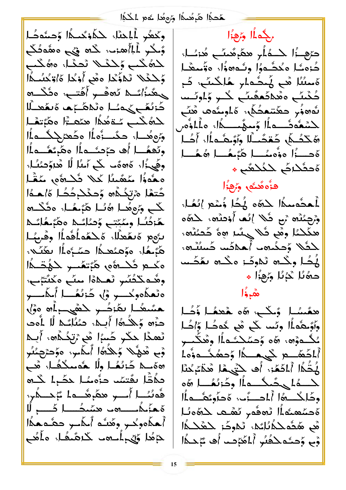هَجِدًا هَرِهُدِدًا وَرَوهُا هُومِ الْحُدَّا

وكعكر ألمحناك للموتك أارتح وحشوكا وَّىكُمْ أَيَاً، هَذِ، كَلَّهُ فَيْ هُ هُدُدُكُمْ لِمَكْبِ وُلِكْلًا نُعِكْلًا هُمُكْب وَحِكَمَهُ لَمَؤْكَّلِ وَهُمٍ أَوْكُلُ وَاوْكُنُسُمَّا حكشةُ، مَنْ أَكْتَبَ، مَثَكَّلَ مِنْ مِنْ مِنْ أَسْتُمْرِ للْكَمْن هَبْتُهَاه النهرز بِــةْنْ يَــةْ لِحَدِّهُ كُتِبِ مُــةِ هُدًا ۚ مَمَّعَــتْزَا ۖ مِمَّ تِنْفَــا وَرُوهُــا حَدَّــزُه أَا وَحَمْرَجِكُــواًا وتُعِمُّــا أُفْ دَرْجَتُــواْلِ وَهُرِيَعُــواْلِ وِفِّيءُا. هَ هُمَّد نَّلِ أَمْاً لَا هُدَوِّصْنُـا. معْدَوُّا مَعْمَىنَا كَلا شَكْرَهُ) مَعْقَا دَّىتمَا %تِكُـدُه وَحِكْـدِدُكُـا هَاـهـهُا كُبِ وَرُوهُما هُنُما هُبُمُماً. وثَكْتُه هَزِدُنُـا ومَيْتِبِ وَصَائِـهِ مِمْ هُزَمُائِـهِ لرُّەم ەُلگَىدْلَا، ەَلْكُمُەلُّقُەلُّا وفْرِمُها هُبُماً: وَوَهِنُعِيدًا حِمْيَّةٍ أَا يَعْنَبُ؛ ەڭدە ئىلىدە مۇتقىس لىھۇتىما وهُــه تَدْمُنُــر نْعــدةا منّـح مَكتُبْـبِ. ەلْعكْموكىب وْلِي شَرْنُعُسَا أَيْكَمْسْبْر هسُعْما بِمُزْدُبِ لِحَقْبِ أَنْ وَقَ) حزَّه وَلِلْأَهَٰا أَبِيهَ. يَنُنُائَيه لَا لِمُوت تَهذَا حكَّرٍ حُسرًا هُي رُتِجُكُمُ». أَبِي وْبِ مْدِيْلا وَلِحْلُهُا أَسْلَبٍ: ووُحِبْطَبُو ھەّىـــى كَـزْتُعُــا ولَٰا حَدَّمىكُكَــا، مْــح دهُثْا بِقُتِمَت دِزْوَمُا جَدَٰذٍا جُدِهِ فَّەنُسًا أَسىر ھەَبِھُــەل مَّزْهَـــهُر. ەْھزْمەسىس ھىسىدىكى ئىسىر لا أهلَاهوكبو وهُنْد أُمكْسو حقْدهكُا حَرَّهُا وَيُجِلُّصِهَا كَاهَْهُا وَلَّمُو

بكمأا ورجأا حرِّصِۃُا کےمُلُر محمَّرمُعنّے مُدسُلہ كُزْوَجًا وَكُحُدُوا وِتُدْوَوُاْ، وَوَّسْعَدَا ەْمىنُىْل ھَے ئُەدُەلم ھُلگىنَى، كَم دُكْمَنّى ەھْلاكْمَقَىنّى لْحُسِر وَّاوتَــْت ثَهوْم حَعَّتَبِعَجُمُّ. وَامِنُهُم هُنِّ <u>ل</u>كشعُهُ هُـــه أَا وَمِّمِهُمْــــهُ أَنْ هَ أَمَا وَهُ رَبِّ هَ خَدْحُكُم حُمْحُمْسُلَا وَٱوُحِثُـهِ أَلِ: أَحُــا هُجِسْرًا وذُومُكُمْ هَٰذَهُمْكُمْ وَهُمُسَلَّلَ ةحثَكَاثُ لِكُلْعَُبٍ \* فؤُهِقُدُهُ، وَرُقِزًا أَحدُّمبدُا لِـدهَٰه هُـدًا ذُمْع إنْعُـا. وْرِجِئْنُهِ ۚ رَبِّ ثَلا إِنَّمَا أَوْعِنُهِ ۚ كَلاَهِ هِ هنْكُمْ وَهْلِ شَلا يَمْسِ الْمَكْتُمِ مِنْ الْمُكْتُمِ لْمَثَلا وُصِئْدُهَا أَبْعَدْهُمْ ضَمِئْتُهِ. لُمِصًا وِكْــهِ لْمَوضَـٰ; ہكْــهِ تَمَّضَــت حمُلًا كَبُرُا وَرَجْزًا \* هْمِ ذُا همُسُل وُلِّبٍ وَهُ هُعِمًا وَّكُل وَأَوُحِقُه أَا ونَّس كُلِّ هُي خُوصًا وَٱصَّا ئگ0ۋە: %ە ۆھم*ىلىش*0لا وقىڭىب أَمْكَمَــــــم نَكْي هـــــــمّ أَ وَحـمَدْــــموْه الْمَـــم لِمُتَمَا ٱلْمَعَةِ. أَفِي حَتَّى هَا شَمَّعَ كُنَّا حضًا حصَّكَـــه أُلْمِ وحَـزِبُعْـــــــل 2⁄8 و وحَاكُ هَٰا أُلمَ أَن هَ حَزَوتَكُ وَلَهُ وَ .<br>كَحسُهشُهْ أَا نْمَعْمِ نَهْتِ حَمَّمَتْ هْمٍ هُدُّهِ حِدُّنُائِكِ. ثَمْوِدُ: حَشْحَـدُا وْبِ وَحِسَّمَحْقُنُو ٱلْمَيْرَحِبِ أَفَّ تَبْحَجُلًا